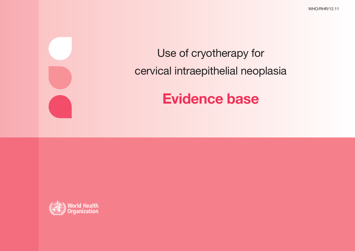WHO/RHR/12.11

## Use of cryotherapy for cervical intraepithelial neoplasia

# **Evidence base**

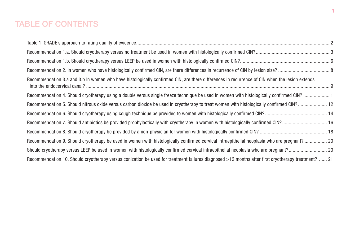## TABLE OF CONTENTS

| Recommendation 3.a and 3.b In women who have histologically confirmed CIN, are there differences in recurrence of CIN when the lesion extends      |  |
|----------------------------------------------------------------------------------------------------------------------------------------------------|--|
| Recommendation 4. Should cryotherapy using a double versus single freeze technique be used in women with histologically confirmed CIN? 1           |  |
|                                                                                                                                                    |  |
|                                                                                                                                                    |  |
|                                                                                                                                                    |  |
|                                                                                                                                                    |  |
|                                                                                                                                                    |  |
|                                                                                                                                                    |  |
| Recommendation 10. Should cryotherapy versus conization be used for treatment failures diagnosed >12 months after first cryotherapy treatment?  21 |  |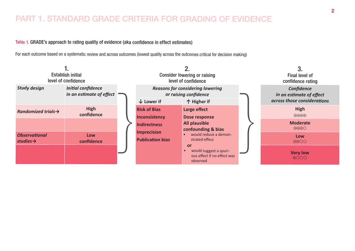## PART 1. STANDARD GRADE CRITERIA FOR GRADING OF EVIDENCE

#### Table 1. GRADE's approach to rating quality of evidence (aka confidence in effect estimates)

For each outcome based on a systematic review and across outcomes (lowest quality across the outcomes critical for decision making)

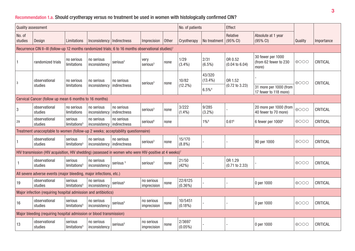## Recommendation 1.a. Should cryotherapy versus no treatment be used in women with histologically confirmed CIN?

|                   | <b>Quality assessment</b>                                                                                          |                                     |                                            |                            |                              |              | No. of patients       |                      | Effect                               |                                                     |                 |            |
|-------------------|--------------------------------------------------------------------------------------------------------------------|-------------------------------------|--------------------------------------------|----------------------------|------------------------------|--------------|-----------------------|----------------------|--------------------------------------|-----------------------------------------------------|-----------------|------------|
| No. of<br>studies | Design                                                                                                             | Limitations                         | Inconsistency   Indirectness               |                            | Imprecision                  | <b>Other</b> | Cryotherapy           | No treatment         | Relative<br>$(95\% \text{ Cl})$      | Absolute at 1 year<br>$(95% \text{ Cl})$            | Quality         | Importance |
|                   | Recurrence CIN II-III (follow-up 12 months randomized trials; 6 to 16 months observational studies) <sup>1</sup>   |                                     |                                            |                            |                              |              |                       |                      |                                      |                                                     |                 |            |
| $\vert$ 1         | randomized trials                                                                                                  | no serious<br>limitations           | no serious<br>inconsistency                | serious <sup>2</sup>       | very<br>serious <sup>3</sup> | none         | 1/29<br>(3.4%)        | 2/31<br>$(6.5\%)$    | OR 0.52<br>$(0.04 \text{ to } 6.04)$ | 30 fewer per 1000<br>(from 62 fewer to 230<br>more) | $\bigoplus$ OOO | CRITICAL   |
| 3                 | observational                                                                                                      | no serious                          | no serious                                 | no serious                 | serious <sup>3</sup>         | none         | 10/82                 | 43/320<br>$(13.4\%)$ | OR 1.52                              |                                                     | $\bigoplus$ OOO | CRITICAL   |
|                   | studies                                                                                                            | limitations                         | inconsistency                              | indirectness               |                              |              | $(12.2\%)$            | $6.5\%$ <sup>4</sup> | $(0.72 \text{ to } 3.23)$            | 31 more per 1000 (from<br>17 fewer to 118 more)     |                 |            |
|                   | Cervical Cancer (follow up mean 6 months to 16 months)                                                             |                                     |                                            |                            |                              |              |                       |                      |                                      |                                                     |                 |            |
| $\overline{3}$    | observational<br>studies                                                                                           | no serious<br>limitations           | no serious<br>inconsistency                | no serious<br>indirectness | serious <sup>3</sup>         | none         | 3/222<br>$(1.4\%)$    | 9/285<br>$(3.2\%)$   |                                      | 20 more per 1000 (from<br>40 fewer to 70 more)      | $\oplus$ OOO    | CRITICAL   |
| 29                | observational<br>studies                                                                                           | serious<br>limitations <sup>5</sup> | no serious<br>inconsistency   indirectness | no serious                 | serious <sup>6</sup>         | none         |                       | $1\%$ <sup>6</sup>   | $0.61^6$                             | 6 fewer per 1000 <sup>6</sup>                       | $\bigoplus$ OOO | CRITICAL   |
|                   | Treatment unacceptable to women (follow-up 2 weeks; acceptability questionnaire)                                   |                                     |                                            |                            |                              |              |                       |                      |                                      |                                                     |                 |            |
|                   | observational<br>studies                                                                                           | serious<br>limitations <sup>5</sup> | no serious<br>inconsistency   indirectness | no serious                 | serious <sup>3</sup>         | none         | 15/170<br>$(8.8\%)$   |                      |                                      | 90 per 1000                                         | $\bigoplus$ OOO | CRITICAL   |
|                   | HIV transmission (HIV acquisition, HIV shedding) (assessed in women who were HIV-positive at 4 weeks) <sup>7</sup> |                                     |                                            |                            |                              |              |                       |                      |                                      |                                                     |                 |            |
|                   | observational<br>studies                                                                                           | serious<br>limitations <sup>5</sup> | no serious<br>inconsistency                | serious <sup>5</sup>       | serious <sup>3</sup>         | none         | 21/50<br>(42%)        |                      | OR 1.29<br>$(0.71 \text{ to } 2.33)$ |                                                     | $\bigoplus$ OOO | CRITICAL   |
|                   | All severe adverse events (major bleeding, major infections, etc.)                                                 |                                     |                                            |                            |                              |              |                       |                      |                                      |                                                     |                 |            |
| 19                | observational<br>studies                                                                                           | serious<br>limitations <sup>5</sup> | no serious<br>inconsistency                | serious <sup>5</sup>       | no serious<br>imprecision    | none         | 22/6125<br>$(0.36\%)$ |                      |                                      | 0 per 1000                                          | $\bigoplus$ OOO | CRITICAL   |
|                   | Major infection (requiring hospital admission and antibiotics)                                                     |                                     |                                            |                            |                              |              |                       |                      |                                      |                                                     |                 |            |
| 16                | observational<br>studies                                                                                           | serious<br>limitations <sup>5</sup> | no serious<br>inconsistency                | serious <sup>5</sup>       | no serious<br>imprecision    | none         | 10/5451<br>$(0.18\%)$ |                      |                                      | 0 per 1000                                          | $\bigoplus$ OO  | CRITICAL   |
|                   | Major bleeding (requiring hospital admission or blood transmission)                                                |                                     |                                            |                            |                              |              |                       |                      |                                      |                                                     |                 |            |
| 13                | observational<br>studies                                                                                           | serious<br>limitations <sup>5</sup> | no serious<br>inconsistency                | serious <sup>5</sup>       | no serious<br>imprecision    | none         | 2/3697<br>$(0.05\%)$  |                      |                                      | 0 per 1000                                          | $\bigoplus$ OOO | CRITICAL   |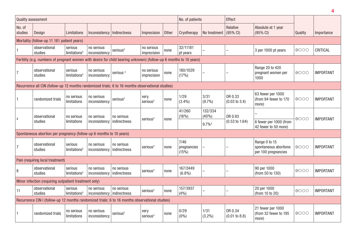| <b>Quality assessment</b> |                                                                                                                   |                                     |                                            |                            |                              |              | No. of patients              |                   | Effect                              |                                                               |                 |                  |
|---------------------------|-------------------------------------------------------------------------------------------------------------------|-------------------------------------|--------------------------------------------|----------------------------|------------------------------|--------------|------------------------------|-------------------|-------------------------------------|---------------------------------------------------------------|-----------------|------------------|
| No. of<br>studies         | Design                                                                                                            | Limitations                         | Inconsistency   Indirectness               |                            | Imprecision                  | <b>Other</b> | Cryotherapy                  | No treatment      | Relative<br>$(95% \text{ Cl})$      | Absolute at 1 year<br>$(95% \text{ Cl})$                      | Quality         | Importance       |
|                           | Mortality (follow-up 11 181 patient years)                                                                        |                                     |                                            |                            |                              |              |                              |                   |                                     |                                                               |                 |                  |
|                           | observational<br>studies                                                                                          | serious<br>limitations <sup>5</sup> | no serious<br>inconsistency                | serious <sup>5</sup>       | no serious<br>imprecision    | none         | 32/11181<br>pt years         |                   |                                     | 3 per 1000 pt years                                           | $\bigoplus$ OOO | CRITICAL         |
|                           | Fertility (e.g. numbers of pregnant women with desire for child bearing unknown) (follow-up 6 months to 10 years) |                                     |                                            |                            |                              |              |                              |                   |                                     |                                                               |                 |                  |
| 7                         | observational<br>studies                                                                                          | serious<br>limitations <sup>5</sup> | no serious<br>inconsistency                | serious <sup>5</sup>       | no serious<br>imprecision    | none         | 180/1029<br>(17%)            |                   |                                     | Range 20 to 420<br>pregnant women per<br>1000                 | $\bigoplus$ OOO | <b>IMPORTANT</b> |
|                           | Recurrence all CIN (follow-up 12 months randomized trials; 6 to 16 months observational studies)                  |                                     |                                            |                            |                              |              |                              |                   |                                     |                                                               |                 |                  |
|                           | randomized trials                                                                                                 | no serious<br>limitations           | no serious<br>inconsistency                | serious <sup>2</sup>       | very<br>serious <sup>3</sup> | none         | 1/29<br>(3.4%)               | 3/31<br>$(9.7\%)$ | OR 0.33<br>$(0.03 \text{ to } 3.4)$ | 63 fewer per 1000<br>(from 94 fewer to 170<br>more)           | $\bigoplus$ OOO | <b>IMPORTANT</b> |
|                           | observational                                                                                                     | no serious                          | no serious                                 | no serious                 | serious <sup>3</sup>         | none         | 41/260<br>(16%)              | 132/334<br>(40%)  | OR 0.93                             |                                                               | $\bigoplus$ OOO | <b>IMPORTANT</b> |
|                           | studies                                                                                                           | limitations                         | inconsistency                              | indirectness               |                              |              |                              | 9.7% <sup>4</sup> | $(0.53 \text{ to } 1.64)$           | 6 fewer per 1000 (from<br>42 fewer to 50 more)                |                 |                  |
|                           | Spontaneous abortion per pregnancy (follow-up 6 months to 10 years)                                               |                                     |                                            |                            |                              |              |                              |                   |                                     |                                                               |                 |                  |
| $\overline{7}$            | observational<br>studies                                                                                          | serious<br>limitations <sup>5</sup> | no serious<br>inconsistency                | no serious<br>indirectness | serious <sup>3</sup>         | none         | 7/46<br>pregnancies<br>(15%) |                   |                                     | Range 0 to 15<br>spontaneous abortions<br>per 100 pregnancies | $\bigoplus$ OOO | <b>IMPORTANT</b> |
|                           | Pain (requiring local treatment)                                                                                  |                                     |                                            |                            |                              |              |                              |                   |                                     |                                                               |                 |                  |
| 8                         | observational<br>studies                                                                                          | serious<br>limitations <sup>5</sup> | no serious<br>inconsistency                | no serious<br>indirectness | serious <sup>3</sup>         | none         | 167/2449<br>$(6.8\%)$        |                   |                                     | 90 per 1000<br>(from 50 to 130)                               | $\bigoplus$ OOO | <b>IMPORTANT</b> |
|                           | Minor infection (requiring outpatient treatment only)                                                             |                                     |                                            |                            |                              |              |                              |                   |                                     |                                                               |                 |                  |
| 11                        | observational<br>studies                                                                                          | serious<br>limitations <sup>5</sup> | no serious<br>inconsistency   indirectness | no serious                 | serious <sup>3</sup>         | none         | 157/3937<br>(4% )            |                   |                                     | 20 per 1000<br>(from 10 to 20)                                | $\bigoplus$ OOO | <b>IMPORTANT</b> |
|                           | Recurrence CIN I (follow-up 12 months randomized trials; 6 to 16 months observational studies)                    |                                     |                                            |                            |                              |              |                              |                   |                                     |                                                               |                 |                  |
| -1                        | randomized trials                                                                                                 | no serious<br>limitations           | no serious<br>inconsistency                | serious <sup>2</sup>       | very<br>serious <sup>3</sup> | none         | 0/29<br>$(0\%)$              | 1/31<br>$(3.2\%)$ | OR 0.34<br>(0.01 to 8.8)            | 21 fewer per 1000<br>(from 32 fewer to 195<br>more)           | $\bigoplus$ OOO | <b>IMPORTANT</b> |

**4**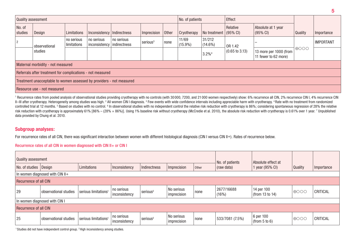| Quality assessment |                                                                      |                           |                              |                              |                      |      | No. of patients     |                       | Effect                    |                                                |                 |                  |
|--------------------|----------------------------------------------------------------------|---------------------------|------------------------------|------------------------------|----------------------|------|---------------------|-----------------------|---------------------------|------------------------------------------------|-----------------|------------------|
| No. of<br>studies  | Design                                                               | Limitations               | Inconsistency   Indirectness |                              | Imprecision Other    |      | Cryotherapy         | No treatment (95% CI) | Relative                  | Absolute at 1 year<br>$(95% \, \text{Cl})$     | Quality         | Importance       |
|                    | observational                                                        | no serious<br>limitations | no serious<br>inconsistency  | no serious<br>  indirectness | serious <sup>3</sup> | none | 11/69<br>$(15.9\%)$ | 31/212<br>$(14.6\%)$  | OR 1.42                   |                                                |                 | <b>IMPORTANT</b> |
|                    | studies                                                              |                           |                              |                              |                      |      |                     | 3.2% <sup>4</sup>     | $(0.65 \text{ to } 3.13)$ | 13 more per 1000 (from<br>11 fewer to 62 more) | $\bigoplus$ OOO |                  |
|                    | Maternal morbidity - not measured                                    |                           |                              |                              |                      |      |                     |                       |                           |                                                |                 |                  |
|                    | Referrals after treatment for complications - not measured           |                           |                              |                              |                      |      |                     |                       |                           |                                                |                 |                  |
|                    | Treatment unacceptable to women assessed by providers - not measured |                           |                              |                              |                      |      |                     |                       |                           |                                                |                 |                  |
|                    | Resource use - not measured                                          |                           |                              |                              |                      |      |                     |                       |                           |                                                |                 |                  |

<sup>1</sup> Recurrence rates from pooled analysis of observational studies providing cryotherapy with no controls (with 30 000, 7200, and 21 000 women respectively) show: 6% recurrence all CIN, 2% recurrence CIN I, 4% recurrence C II–III after cryotherapy. Heterogeneity among studies was high. <sup>2</sup> All women CIN I diagnosis. <sup>3</sup> Few events with wide confidence intervals including appreciable harm with cryotherapy. <sup>4</sup> Rate with no treatment from rand controlled trial at 12 months. 5 Based on studies with no control. 6 In observational studies with no independent control the relative risk reduction with cryotherapy is 86%; considering spontaneous regression of 28% the r risk reduction with cryotherapy is approximately 61% [86% – (28% × 86%)]. Using 1% baseline risk without cryotherapy (McCredie et al. 2010), the absolute risk reduction with cryotherapy is 0.61% over 1 year. 7 Unpublished data provided by Chung et al. 2010.

#### **Subgroup analyses:**

For recurrence rates of all CIN, there was significant interaction between women with different histological diagnosis (CIN I versus CIN II+). Rates of recurrence below.

#### Recurrence rates of all CIN in women diagnosed with CIN II+ or CIN I

| Quality assessment    |                                 |                                  |                             |                      |                           |       | No. of patients     | Absolute effect at            |              |            |
|-----------------------|---------------------------------|----------------------------------|-----------------------------|----------------------|---------------------------|-------|---------------------|-------------------------------|--------------|------------|
| No. of studies Design |                                 | Limitations                      | Inconsistency               | Indirectness         | Imprecision               | Other | (raw data)          | 1 year (95% CI)               | Quality      | Importance |
|                       | In women diagnosed with CIN II+ |                                  |                             |                      |                           |       |                     |                               |              |            |
| Recurrence of all CIN |                                 |                                  |                             |                      |                           |       |                     |                               |              |            |
| 29                    | observational studies           | serious limitations <sup>1</sup> | no serious<br>inconsistency | serious <sup>2</sup> | No serious<br>imprecision | none  | 2677/16688<br>(16%) | 14 per 100<br>(from 13 to 14) | $\theta$ 000 | CRITICAL   |
|                       | In women diagnosed with CIN I   |                                  |                             |                      |                           |       |                     |                               |              |            |
| Recurrence of all CIN |                                 |                                  |                             |                      |                           |       |                     |                               |              |            |
| 25                    | observational studies           | serious limitations <sup>1</sup> | no serious<br>inconsistency | serious <sup>2</sup> | No serious<br>imprecision | none  | 533/7081 (7.5%)     | 6 per 100<br>(from 5 to 6)    | $\theta$ 000 | CRITICAL   |

<sup>1</sup> Studies did not have independent control group. <sup>2</sup> High inconsistency among studies.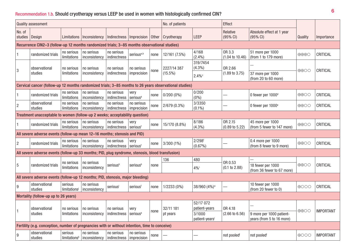## Recommendation 1.b. Should cryotherapy versus LEEP be used in women with histologically confirmed CIN?

|                   | <b>Quality assessment</b>                                                                              |                                     |                                                            |                                                 |                              | No. of patients |               | Effect                               |                                      |                                                       |                                   |                  |
|-------------------|--------------------------------------------------------------------------------------------------------|-------------------------------------|------------------------------------------------------------|-------------------------------------------------|------------------------------|-----------------|---------------|--------------------------------------|--------------------------------------|-------------------------------------------------------|-----------------------------------|------------------|
| No. of<br>studies | Design                                                                                                 | Limitations                         | Inconsistency                                              | Indirectness   Imprecision                      |                              | Other           | Cryotherapy   | LEEP                                 | Relative<br>$(95% \text{ Cl})$       | Absolute effect at 1 year<br>(95% CI)                 | Quality                           | Importance       |
|                   | Recurrence CIN2-3 (follow-up 12 months randomized trials; 3-85 months observational studies)           |                                     |                                                            |                                                 |                              |                 |               |                                      |                                      |                                                       |                                   |                  |
|                   | randomized trials                                                                                      | no serious<br>limitations           | no serious<br>inconsistency                                | no serious<br>indirectness                      | serious <sup>a,b</sup>       | none            | 12/161 (7.5%) | 4/168<br>$(2.4\%)$                   | OR 3.3<br>$(1.04 \text{ to } 10.46)$ | 51 more per 1000<br>(from 1 to 179 more)              | $\bigoplus\bigoplus\bigodot$      | CRITICAL         |
| 3                 | observational                                                                                          | no serious                          | no serious                                                 | no serious                                      | no serious                   | none            | 2227/14 387   | 319/7454<br>$(4.3\%)$                | OR 2.66                              |                                                       | $\bigoplus$ $\bigodot$ $\bigodot$ | CRITICAL         |
|                   | studies                                                                                                | limitations                         | inconsistency                                              | indirectness                                    | imprecision                  |                 | $(15.5\%)$    | $2.4\%$                              | $(1.89 \text{ to } 3.75)$            | 37 more per 1000<br>(from 20 to 60 more)              |                                   |                  |
|                   | Cervical cancer (follow-up 12 months randomized trials; 3-85 months to 26 years observational studies) |                                     |                                                            |                                                 |                              |                 |               |                                      |                                      |                                                       |                                   |                  |
|                   | randomized trials                                                                                      | no serious<br>limitations           | no serious<br>inconsistency                                | no serious<br>indirectness                      | very<br>serious <sup>a</sup> | none            | $0/200(0\%)$  | 0/200<br>$(0\%)$                     |                                      | 0 fewer per 1000 <sup>d</sup>                         | $\bigoplus$ $\bigodot$            | CRITICAL         |
| $\overline{2}$    | observational<br>studies                                                                               | no serious<br>limitations           | no serious<br>inconsistency                                | no serious<br>indirectness                      | no serious<br>imprecision    | none            | 2/679 (0.3%)  | 3/3350<br>$(0.1\%)$                  |                                      | 0 fewer per 1000 <sup>e</sup>                         | $\bigoplus$ $\bigodot$            | CRITICAL         |
|                   | Treatment unacceptable to women (follow-up 2 weeks; acceptability question)                            |                                     |                                                            |                                                 |                              |                 |               |                                      |                                      |                                                       |                                   |                  |
|                   | randomized trials                                                                                      | no serious<br>limitations           | no serious<br>inconsistency                                | no serious<br>indirectness serious <sup>f</sup> | very                         | none            | 15/170 (8.8%) | 8/186<br>$(4.3\%)$                   | OR 2.15<br>$(0.89 \text{ to } 5.22)$ | 45 more per 1000<br>(from 5 fewer to 147 more)        | $\bigoplus$ OO                    | CRITICAL         |
|                   | All severe adverse events (follow-up mean 12-16 months; stenosis and PID)                              |                                     |                                                            |                                                 |                              |                 |               |                                      |                                      |                                                       |                                   |                  |
| $\overline{2}$    | randomized trials                                                                                      | no serious<br>limitations           | no serious<br>inconsistency                                | no serious<br>indirectness                      | very<br>seriousf             | none            | 3/300 (1%)    | $2/298$ <sup>f</sup><br>(0.67%)      |                                      | 0.4 more per 1000<br>(from 8 fewer to 9 more)         | $\bigoplus$ OO                    | CRITICAL         |
|                   | All severe adverse events (follow-up 33 months; PID, plug syndrome, stenosis, blood transfusion)       |                                     |                                                            |                                                 |                              |                 |               |                                      |                                      |                                                       |                                   |                  |
| 5                 | randomized trials                                                                                      | no serious                          | no serious                                                 | serioush                                        | serioush                     | none            | 136           | 480                                  | OR 0.53                              | 18 fewer per 1000                                     | $\bigoplus$ $\bigodot$            | CRITICAL         |
|                   |                                                                                                        | limitations                         | inconsistency                                              |                                                 |                              |                 |               | $4\%$                                | (0.1 to 2.88)                        | (from 36 fewer to 67 more)                            |                                   |                  |
|                   | All severe adverse events (follow-up 12 months; PID, stenosis, major bleeding)                         |                                     |                                                            |                                                 |                              |                 |               |                                      |                                      |                                                       |                                   |                  |
| 9                 | observational<br>studies                                                                               | serious<br>limitations              | no serious<br>inconsistency                                | serious                                         | serious <sup>f</sup>         | none            | $1/2233(0\%)$ | 38/960 (4%) <sup>a</sup>             |                                      | 10 fewer per 1000<br>(from 20 fewer to 0)             | $\bigoplus$ OOO                   | CRITICAL         |
|                   | Mortality (follow-up up to 26 years)                                                                   |                                     |                                                            |                                                 |                              |                 |               |                                      |                                      |                                                       |                                   |                  |
|                   | observational                                                                                          | no serious $ no$ serious            |                                                            | no serious                                      | very                         | none            | 32/11 181     | 52/17 072<br>patient-years           | OR 4.18                              |                                                       | $\oplus\oplus\bigcirc\bigcirc$    | <b>IMPORTANT</b> |
|                   | studies                                                                                                | limitations                         | inconsistency  indirectness   serious <sup>a</sup>         |                                                 |                              |                 | pt years      | 3/1000<br>patient-years <sup>i</sup> | $(2.66 \text{ to } 6.56)$            | 9 more per 1000 patient-<br>years (from 5 to 16 more) |                                   |                  |
|                   | Fertility (e.g. conception, number of pregnancies with or without intention, time to conceive)         |                                     |                                                            |                                                 |                              |                 |               |                                      |                                      |                                                       |                                   |                  |
| 9                 | observational<br>studies                                                                               | serious<br>limitations <sup>k</sup> | no serious<br>  inconsistency   indirectness   imprecision | no serious                                      | no serious                   | none            |               |                                      | not pooled                           | not pooled                                            | $\bigoplus$ OOO                   | <b>IMPORTANT</b> |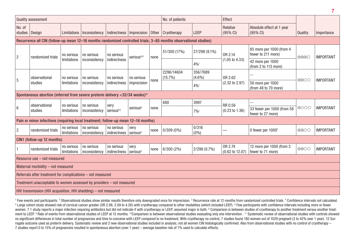|                                                                      | <b>Quality assessment</b>                                                                                        |                                  |                             |                                                     |                        |       | No. of patients          |                       | Effect                                |                                                 |                                   |                  |
|----------------------------------------------------------------------|------------------------------------------------------------------------------------------------------------------|----------------------------------|-----------------------------|-----------------------------------------------------|------------------------|-------|--------------------------|-----------------------|---------------------------------------|-------------------------------------------------|-----------------------------------|------------------|
| No. of<br>studies                                                    | Design                                                                                                           | Limitations                      | Inconsistency               | Indirectness   Imprecision                          |                        | Other | <b>Cryotherapy</b>       | LEEP                  | Relative<br>(95% CI)                  | Absolute effect at 1 year<br>$(95% \text{ Cl})$ | Quality                           | Importance       |
|                                                                      | Recurrence all CIN (follow-up mean 12–16 months randomized controlled trials; 3–85 months observational studies) |                                  |                             |                                                     |                        |       |                          |                       |                                       |                                                 |                                   |                  |
| $\overline{2}$                                                       | randomized trials                                                                                                | no serious                       | no serious                  | no serious                                          | serious <sup>a,b</sup> | none  | 51/300 (17%)             | 27/298 (9.1%)         | OR 2.14                               | 85 more per 1000 (from 4<br>fewer to 211 more)  | $\bigoplus\bigoplus\bigodot$      | <b>IMPORTANT</b> |
|                                                                      |                                                                                                                  | limitations                      | inconsistency               | indirectness                                        |                        |       |                          | $4\%$                 | $(1.05 \text{ to } 4.33)$             | 42 more per 1000<br>(from 2 to 113 more)        |                                   |                  |
| $5\phantom{.0}$                                                      | observational                                                                                                    | no serious                       | no serious                  | no serious                                          | no serious             | none  | 2296/14604<br>$(15.7\%)$ | 356/7689<br>$(4.6\%)$ | OR 2.62                               |                                                 | $\bigoplus$ OO                    | <b>IMPORTANT</b> |
|                                                                      | studies                                                                                                          | limitations                      | inconsistency               | indirectness                                        | imprecision            |       |                          | $4\%$                 | (2.32 to 2.97)                        | 58 more per 1000<br>(from 48 to 70 more)        |                                   |                  |
|                                                                      | Spontaneous abortion (inferred from severe preterm delivery <32/34 weeks) <sup>m</sup>                           |                                  |                             |                                                     |                        |       |                          |                       |                                       |                                                 |                                   |                  |
|                                                                      | observational                                                                                                    | no serious                       | no serious                  | very                                                |                        |       | 680                      | 3997                  | RR 0.56                               |                                                 |                                   |                  |
| 6                                                                    | studies                                                                                                          | limitations                      | inconsistency               | serioush,j                                          | serious <sup>9</sup>   | none  |                          | $7\%$                 | $(0.23 \text{ to } 1.36)$             | 33 fewer per 1000 (from 58<br>fewer to 27 more) | $\bigoplus$ OOO                   | <b>IMPORTANT</b> |
|                                                                      | Pain or minor infections (requiring local treatment; follow-up mean 12-16 months)                                |                                  |                             |                                                     |                        |       |                          |                       |                                       |                                                 |                                   |                  |
| $\overline{2}$                                                       | randomized trials                                                                                                | no serious<br><b>limitations</b> | no serious<br>inconsistency | no serious<br>indirectness serious <sup>a</sup>     | very                   | none  | $0/309(0\%)$             | 0/316<br>$(0\%)$      |                                       | 0 fewer per 1000f                               | $\bigoplus$ OO                    | <b>IMPORTANT</b> |
|                                                                      | CIN1 (follow-up 12 months)                                                                                       |                                  |                             |                                                     |                        |       |                          |                       |                                       |                                                 |                                   |                  |
| -1                                                                   | randomized trials                                                                                                | no serious<br>limitations        | no serious<br>inconsistency | no serious<br>  indirectness   serious <sup>a</sup> | very                   | none  | $6/300(2\%)$             | 2/298 (0.7%)          | OR 2.74<br>$(0.62 \text{ to } 12.07)$ | 12 more per 1000 (from 3<br>fewer to 71 more)   | $\oplus \oplus \bigcirc \bigcirc$ | <b>IMPORTANT</b> |
|                                                                      | Resource use - not measured                                                                                      |                                  |                             |                                                     |                        |       |                          |                       |                                       |                                                 |                                   |                  |
| Maternal morbidity - not measured                                    |                                                                                                                  |                                  |                             |                                                     |                        |       |                          |                       |                                       |                                                 |                                   |                  |
| Referrals after treatment for complications - not measured           |                                                                                                                  |                                  |                             |                                                     |                        |       |                          |                       |                                       |                                                 |                                   |                  |
| Treatment unacceptable to women assessed by providers - not measured |                                                                                                                  |                                  |                             |                                                     |                        |       |                          |                       |                                       |                                                 |                                   |                  |
|                                                                      | HIV transmission (HIV acquisition, HIV shedding) – not measured                                                  |                                  |                             |                                                     |                        |       |                          |                       |                                       |                                                 |                                   |                  |

<sup>1</sup> Few events and participants. <sup>2</sup> Observational studies show similar results therefore only downgraded once for imprecision. <sup>3</sup> Recurrence rate at 12 months from randomized controlled trials. <sup>4</sup> Confidence intervals n Large cohort study showed risk of cervical cancer greater (OR 2.98, 2.09 to 4.26) with cryotherapy compared to other modalities (which included LEEP). <sup>6</sup> Few participants with confidence intervals including more or fewer women. 7 1 study reports a major infection requiring antibiotics but did not indicate if with cryotherapy or LEEP, assumed major in both. 8 Comparison is between studies of cryotherapy to another treatment versus another t ment to LEEP. <sup>9</sup> Rate of events from observational studies of LEEP at 12 months. <sup>10</sup>Comparison is between observational studies evaluating only one intervention . <sup>11</sup> Systematic review of observational studies with cont no significant differences in total number of pregnancies and time to conceive with LEEP compared to no treatment. With cryotherapy no control, 7 studies found 180 women out of 1029 pregnant (2 to 42% over 1 year). 12 Surrogate outcome used as preterm delivery. Systematic review and 2 new observational studies included in analysis; not all women CIN histologically confirmed. Also from observational studies with no control of cryotherapy – 7 studies report 0 to 15% of pregnancies resulted in spontaneous abortion (over 1 year) – average baseline risk of 7% used to calculate effects.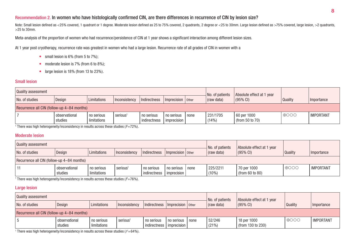#### Recommendation 2. In women who have histologically confirmed CIN, are there differences in recurrence of CIN by lesion size?

Note: Small lesion defined as <25% covered, 1 quadrant or 1 degree. Moderate lesion defined as 25 to 75% covered, 2 quadrants, 2 degree or <25 to 30mm. Large lesion defined as >75% covered, large lesion, >2 quadrants, >25 to 30mm.

Meta-analysis of the proportion of women who had recurrence/persistence of CIN at 1 year shows a significant interaction among different lesion sizes.

At 1 year post cryotherapy, recurrence rate was greatest in women who had a large lesion. Recurrence rate of all grades of CIN in women with a

- small lesion is  $6\%$  (from  $5$  to  $7\%$ );
- moderate lesion is  $7\%$  (from 6 to  $8\%$ );
- large lesion is  $18\%$  (from 13 to  $23\%$ ).

#### Small lesion

| Quality assessment                         |                          |                             |                               |                   | $\overline{\phantom{a}}$ No. of patients     | Absolute effect at 1 year |                  |            |  |  |
|--------------------------------------------|--------------------------|-----------------------------|-------------------------------|-------------------|----------------------------------------------|---------------------------|------------------|------------|--|--|
| No. of studies                             | Design                   | Limitations                 | Indirectness<br>Inconsistency | Imprecision other | (raw data)                                   | $(95\% \, \text{Cl})$     | Quality          | Importance |  |  |
| Recurrence all CIN (follow-up 4-84 months) |                          |                             |                               |                   |                                              |                           |                  |            |  |  |
|                                            | observational<br>studies | l no serious<br>limitations | serious <sup>1</sup>          | 231/1705<br>(14%) | 60 per 1000<br>$\frac{1}{2}$ (from 50 to 70) | $\bigoplus$ OOO           | <b>IMPORTANT</b> |            |  |  |

 $^{\rm 1}$  There was high heterogeneity/inconsistency in results across these studies ( $\it I$ =72%).

#### Moderate lesion

| Quality assessment                         |                          |                             |                                      |                       | No. of patients      | Absolute effect at 1 year      |                 |                  |  |  |
|--------------------------------------------|--------------------------|-----------------------------|--------------------------------------|-----------------------|----------------------|--------------------------------|-----------------|------------------|--|--|
| No. of studies                             | Design                   | Limitations                 | Inconsistency<br>Indirectness        | $Imprecision$   Other | (raw data)           | $(95% \, \text{Cl})$           | Quality         | Importance       |  |  |
| Recurrence all CIN (follow-up 4-84 months) |                          |                             |                                      |                       |                      |                                |                 |                  |  |  |
|                                            | observational<br>studies | l no serious<br>limitations | serious <sup>1</sup><br>indirectness | none<br>  imprecision | 225/2211<br>$(10\%)$ | 70 per 1000<br>(from 60 to 80) | $\bigoplus$ OOO | <b>IMPORTANT</b> |  |  |

 $^{\rm 1}$  There was high heterogeneity/inconsistency in results across these studies ( $\it I$ =76%).

#### Large lesion

| Quality assessment                         |                          |                           |                         |                   | No. of patients                  | Absolute effect at 1 year |                  |            |  |  |
|--------------------------------------------|--------------------------|---------------------------|-------------------------|-------------------|----------------------------------|---------------------------|------------------|------------|--|--|
| No. of studies                             | Design                   | Limitations               | Inconsistency           | Imprecision other | (raw data)                       | $ (95\% \text{ Cl}) $     | Quality          | Importance |  |  |
| Recurrence all CIN (follow-up 4-84 months) |                          |                           |                         |                   |                                  |                           |                  |            |  |  |
|                                            | observational<br>studies | no serious<br>limitations | serious<br>indirectness | 52/246<br>(21%)   | 18 per 1000<br>(from 130 to 230) | $\Theta$ OOC              | <b>IMPORTANT</b> |            |  |  |

 $^{\rm 1}$  There was high heterogeneity/inconsistency in results across these studies (/²=64%).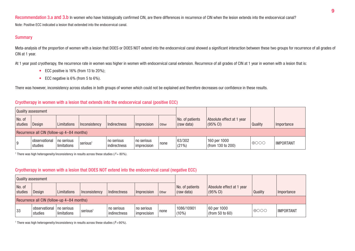Recommendation 3.a and 3.b In women who have histologically confirmed CIN, are there differences in recurrence of CIN when the lesion extends into the endocervical canal? Note: Positive ECC indicated a lesion that extended into the endocervical canal.

#### **Summary**

Meta-analysis of the proportion of women with a lesion that DOES or DOES NOT extend into the endocervical canal showed a significant interaction between these two groups for recurrence of all grades of CIN at 1 year.

At 1 year post cryotherapy, the recurrence rate in women was higher in women with endocervical canal extension. Recurrence of all grades of CIN at 1 year in women with a lesion that is:

- $\bullet$  ECC positive is 16% (from 13 to 20%);
- $\bullet$  ECC negative is 6% (from 5 to 6%).

There was however, inconsistency across studies in both groups of women which could not be explained and therefore decreases our confidence in these results.

#### Cryotherapy in women with a lesion that extends into the endocervical canal (positive ECC)

|                   | Quality assessment                         |                           |                      |                            |                           |       |                               |                                                  |                |                  |
|-------------------|--------------------------------------------|---------------------------|----------------------|----------------------------|---------------------------|-------|-------------------------------|--------------------------------------------------|----------------|------------------|
| No. of<br>studies | Design                                     | Limitations               | Inconsistency        | Indirectness               | Imprecision               | Other | No. of patients<br>(raw data) | Absolute effect at 1 year<br>$(95\% \text{ Cl})$ | <b>Quality</b> | Importance       |
|                   | Recurrence all CIN (follow-up 4-84 months) |                           |                      |                            |                           |       |                               |                                                  |                |                  |
| 9                 | <i>cobservational</i><br>studies           | no serious<br>limitations | serious <sup>1</sup> | no serious<br>indirectness | no serious<br>imprecision | none  | 63/302<br>(21%)               | 160 per 1000<br>$\frac{1}{2}$ (from 130 to 200)  | $\theta$ 000   | <b>IMPORTANT</b> |

<sup>1</sup> There was high heterogeneity/inconsistency in results across these studies ( $l^2$  = 80%).

#### Cryotherapy in women with a lesion that DOES NOT extend into the endocervical canal (negative ECC)

|                   | Quality assessment                         |                           |                      |                            |                             |       |                               |                                                  |                 |                  |
|-------------------|--------------------------------------------|---------------------------|----------------------|----------------------------|-----------------------------|-------|-------------------------------|--------------------------------------------------|-----------------|------------------|
| No. of<br>studies | Design                                     | Limitations               | Inconsistency        | Indirectness               | Imprecision                 | Other | No. of patients<br>(raw data) | Absolute effect at 1 year<br>$(95\% \text{ Cl})$ | Quality         | Importance       |
|                   | Recurrence all CIN (follow-up 4-84 months) |                           |                      |                            |                             |       |                               |                                                  |                 |                  |
| 33                | <i>I</i> observational<br>studies          | no serious<br>limitations | serious <sup>1</sup> | no serious<br>indirectness | l no serious<br>imprecision | none  | 1086/10901<br>$(10\%)$        | 60 per 1000<br>(from 50 to 60)                   | $\bigoplus$ OOO | <b>IMPORTANT</b> |

<sup>1</sup> There was high heterogeneity/inconsistency in results across these studies ( $l^2$ =90%).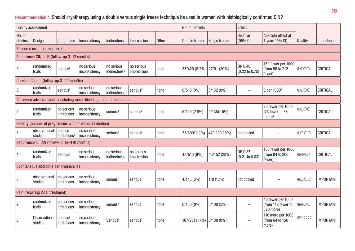## Recommendation 4. Should cryotherapy using a double versus single freeze technique be used in women with histologically confirmed CIN?

| <b>Quality assessment</b> |                                               |                                     |                                                                              |                            |                           |       | No. of patients          |               | Effect                               |                                                      |                              |                  |
|---------------------------|-----------------------------------------------|-------------------------------------|------------------------------------------------------------------------------|----------------------------|---------------------------|-------|--------------------------|---------------|--------------------------------------|------------------------------------------------------|------------------------------|------------------|
| No. of<br>studies         | Design                                        | Limitations                         | Inconsistency                                                                | Indirectness               | Imprecision               | Other | Double freeze            | Single freeze | Relative<br>(95% CI)                 | Absolute effect at<br>1 year(95% CI)                 | Quality                      | Importance       |
|                           | Resource use - not measured                   |                                     |                                                                              |                            |                           |       |                          |               |                                      |                                                      |                              |                  |
|                           | Recurrence CIN II-III (follow-up 3-12 months) |                                     |                                                                              |                            |                           |       |                          |               |                                      |                                                      |                              |                  |
| $\mathbf{3}$              | randomized<br>trials                          | serious <sup>1</sup>                | no serious<br>inconsistency                                                  | no serious<br>indirectness | no serious<br>imprecision | none  | 35/429 (8.2%)            | 27/91 (30%)   | OR 0.40<br>$(0.22 \text{ to } 0.75)$ | 152 fewer per 1000<br>(from 56 to 212<br>fewer)      | $\oplus\oplus\oplus\bigcirc$ | CRITICAL         |
|                           | Cervical Cancer (follow-up 3-42 months)       |                                     |                                                                              |                            |                           |       |                          |               |                                      |                                                      |                              |                  |
| $\mathbf{3}$              | randomized<br>trials                          | serious <sup>1</sup>                | no serious<br>inconsistency                                                  | no serious<br>indirectness | serious <sup>2</sup>      | none  | $0/510(0\%)$             | 0/152(0%)     | $\qquad \qquad -$                    | 0 per 1000 <sup>3</sup>                              | $\bigoplus$ $\bigodot$       | CRITICAL         |
|                           |                                               |                                     | All severe adverse events (including major bleeding, major infections, etc.) |                            |                           |       |                          |               |                                      |                                                      |                              |                  |
| 5                         | randomized<br>trials                          | no serious<br>limitations           | no serious<br>inconsistency                                                  | serious <sup>4</sup>       | serious <sup>2</sup>      | none  | 5/190 (2.6%)             | 2/135(1.5%)   |                                      | 20 fewer per 1000<br>(73 fewer to 33<br>$more)^5$    | $\oplus$ OO                  | CRITICAL         |
|                           |                                               |                                     | Fertility (number of pregnancies with or without intention)                  |                            |                           |       |                          |               |                                      |                                                      |                              |                  |
| 5                         | observational<br>studies                      | serious<br>limitations <sup>6</sup> | no serious<br>inconsistency                                                  | serious <sup>6</sup>       | serious <sup>7</sup>      | none  | 77/5907 (13%)            | 47/1237 (38%) | not pooled                           |                                                      | $\bigoplus$ OOO              | CRITICAL         |
|                           | Recurrence all CIN (follow-up 12-110 months)  |                                     |                                                                              |                            |                           |       |                          |               |                                      |                                                      |                              |                  |
| $\overline{4}$            | randomized<br>trials                          | serious <sup>2</sup>                | no serious<br>inconsistency                                                  | no serious<br>indirectness | no serious<br>imprecision | none  | 48/510 (9%)              | 43/152 (28%)  | OR 0.37<br>$(0.21 \text{ to } 0.63)$ | 156 fewer per 1000<br>(from 84 to 206<br>fewer)      | $\bigoplus\bigoplus\bigodot$ | CRITICAL         |
|                           | Spontaneous abortions per pregnancies         |                                     |                                                                              |                            |                           |       |                          |               |                                      |                                                      |                              |                  |
| 5                         | observational<br>studies                      | no serious<br>limitations           | no serious<br>inconsistency                                                  | serious <sup>6</sup>       | serious <sup>2</sup>      | none  | 4/145(3%)                | 1/8(13%)      | not pooled                           |                                                      | $\bigoplus$ OOO              | <b>IMPORTANT</b> |
|                           | Pain (requiring local treatment)              |                                     |                                                                              |                            |                           |       |                          |               |                                      |                                                      |                              |                  |
| $\overline{2}$            | randomized<br>trials                          | no serious<br>limitations           | no serious<br>inconsistency                                                  | serious <sup>4</sup>       | serious <sup>2</sup>      | none  | $0/100(0\%)$             | 5/100(5%)     |                                      | 40 fewer per 1000<br>(from 112 fewer to<br>320 more) | $\bigoplus$ OO               | <b>IMPORTANT</b> |
| 8                         | <b>Observational</b><br>studies               | serious <sup>6</sup><br>limitations | no serious<br>inconsistency                                                  | Serious <sup>6</sup>       | serious <sup>2</sup>      | none  | 167/2311 (7%) 0/138 (0%) |               |                                      | 110 more per 1000<br>(from 64 to 156<br>more)        | $\bigoplus$ OOO              | <b>IMPORTANT</b> |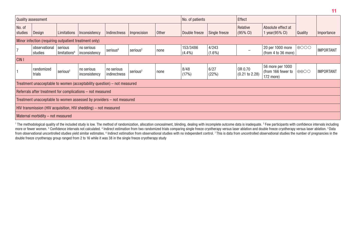| <b>Quality assessment</b> |                                                       |                                     |                                                                         |                            |                      |       | No. of patients       |                    | Effect                               |                                                     |                                   |                  |
|---------------------------|-------------------------------------------------------|-------------------------------------|-------------------------------------------------------------------------|----------------------------|----------------------|-------|-----------------------|--------------------|--------------------------------------|-----------------------------------------------------|-----------------------------------|------------------|
| No. of<br>studies         | Design                                                | Limitations                         | Inconsistency                                                           | Indirectness               | Imprecision          | Other | Double freeze         | Single freeze      | Relative<br>$(95% \text{ Cl})$       | Absolute effect at<br>1 year(95% CI)                | Quality                           | Importance       |
|                           | Minor infection (requiring outpatient treatment only) |                                     |                                                                         |                            |                      |       |                       |                    |                                      |                                                     |                                   |                  |
|                           | observational<br>studies                              | serious<br>limitations <sup>6</sup> | no serious<br>inconsistency                                             | serious <sup>6</sup>       | serious <sup>2</sup> | none  | 153/3486<br>$(4.4\%)$ | 4/243<br>$(1.6\%)$ |                                      | 20 per 1000 more<br>(from 4 to 36 more)             | $\bigoplus$ OOO                   | <b>IMPORTANT</b> |
| CIN <sub>I</sub>          |                                                       |                                     |                                                                         |                            |                      |       |                       |                    |                                      |                                                     |                                   |                  |
|                           | randomized<br>trials                                  | serious <sup>2</sup>                | no serious<br>inconsistency                                             | no serious<br>indirectness | serious <sup>2</sup> | none  | 8/48<br>(17%)         | 6/27<br>(22%)      | OR 0.70<br>$(0.21 \text{ to } 2.28)$ | 56 more per 1000<br>(from 166 fewer to<br>172 more) | $\oplus \oplus \bigcirc \bigcirc$ | <b>IMPORTANT</b> |
|                           |                                                       |                                     | Treatment unacceptable to women (acceptability question) – not measured |                            |                      |       |                       |                    |                                      |                                                     |                                   |                  |
|                           |                                                       |                                     | Referrals after treatment for complications - not measured              |                            |                      |       |                       |                    |                                      |                                                     |                                   |                  |
|                           |                                                       |                                     | Treatment unacceptable to women assessed by providers – not measured    |                            |                      |       |                       |                    |                                      |                                                     |                                   |                  |
|                           |                                                       |                                     | HIV transmission (HIV acquisition, HIV shedding) – not measured         |                            |                      |       |                       |                    |                                      |                                                     |                                   |                  |
|                           | Maternal morbidity - not measured                     |                                     |                                                                         |                            |                      |       |                       |                    |                                      |                                                     |                                   |                  |

<sup>1</sup> The methodological quality of the included study is low. The method of randomization, allocation concealment, blinding, dealing with incomplete outcome data is inadequate. <sup>2</sup> Few participants with confidence intervals more or fewer women. 3 Confidence intervals not calculated. 4 Indirect estimation from two randomized trials comparing single freeze cryotherapy versus laser ablation and double freeze cryotherapy versus laser ablation. 5 from observational uncontrolled studies yield similar estimates. 『Indirect estimation from observational studies with no independent control. 7 This is data from uncontrolled observational studies the number of pregnancies double freeze cryotherapy group ranged from 2 to 16 while it was 38 in the single freeze cryotherapy study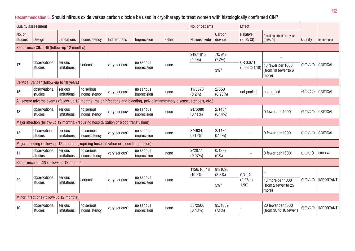## Recommendation 5. Should nitrous oxide versus carbon dioxide be used in cryotherapy to treat women with histologically confirmed CIN?

| <b>Quality assessment</b> |                                             |                                     |                                                                                         |                           |                                                                                                                             |       | No. of patients          |                      | Effect                    |                                                   |                 |                  |
|---------------------------|---------------------------------------------|-------------------------------------|-----------------------------------------------------------------------------------------|---------------------------|-----------------------------------------------------------------------------------------------------------------------------|-------|--------------------------|----------------------|---------------------------|---------------------------------------------------|-----------------|------------------|
| No. of<br>studies         | Design                                      | Limitations                         | Inconsistency                                                                           | Indirectness              | Imprecision                                                                                                                 | Other | Nitrous oxide            | Carbon<br>dioxide    | Relative<br>(95% CI)      | Absolute effect at 1 year<br>(95% CI)             | Quality         | Importance       |
|                           | Recurrence CIN II-III (follow-up 12 months) |                                     |                                                                                         |                           |                                                                                                                             |       |                          |                      |                           |                                                   |                 |                  |
|                           | observational                               | serious                             |                                                                                         |                           | no serious                                                                                                                  |       | 219/4815<br>$(4.5\%)$    | 70/912<br>(7.7%)     | OR 0.67 !                 |                                                   |                 |                  |
| 17                        | studies                                     | limitations <sup>1</sup>            | serious <sup>2</sup>                                                                    | very serious <sup>3</sup> | imprecision                                                                                                                 | none  |                          | $3\%^{4}$            | $(0.38 \text{ to } 1.18)$ | 10 fewer per 1000<br>(from 19 fewer to 6<br>more) | $\bigoplus$ OOO | CRITICAL         |
|                           | Cervical Cancer (follow-up to 10 years)     |                                     |                                                                                         |                           |                                                                                                                             |       |                          |                      |                           |                                                   |                 |                  |
| 15                        | observational<br>studies                    | serious<br>limitations <sup>1</sup> | no serious<br>inconsistency                                                             | very serious <sup>3</sup> | no serious<br>imprecision                                                                                                   | none  | 11/5578<br>$(0.2\%)$     | 2/853<br>$(0.23\%)$  | not pooled                | not pooled                                        | $\bigoplus$ OOO | CRITICAL         |
|                           |                                             |                                     |                                                                                         |                           | All severe adverse events (follow-up 12 months; major infections and bleeding, pelvic inflammatory disease, stenosis, etc.) |       |                          |                      |                           |                                                   |                 |                  |
| 13                        | observational<br>studies                    | serious<br>limitations <sup>1</sup> | no serious<br>inconsistency                                                             | very serious <sup>3</sup> | no serious<br>imprecision                                                                                                   | none  | 21/5080<br>$(0.41\%)$    | 2/1434<br>$(0.14\%)$ |                           | 0 fewer per 1000                                  | $\bigoplus$ OOO | CRITICAL         |
|                           |                                             |                                     | Major infection (follow-up 12 months; (requiring hospitalization or blood transfusion)) |                           |                                                                                                                             |       |                          |                      |                           |                                                   |                 |                  |
| 13                        | observational<br>studies                    | serious<br>limitations <sup>1</sup> | no serious<br>inconsistency                                                             | very serious <sup>3</sup> | no serious<br>imprecision                                                                                                   | none  | 8/4634<br>$(0.17\%)$     | 2/1434<br>$0.14\%$   |                           | 0 fewer per 1000                                  | $\bigoplus$ OOO | CRITICAL         |
|                           |                                             |                                     | Major bleeding (follow-up 12 months; (requiring hospitalization or blood transfusion))  |                           |                                                                                                                             |       |                          |                      |                           |                                                   |                 |                  |
| 11                        | observational<br>studies                    | serious<br>limitations <sup>1</sup> | no serious<br>inconsistency                                                             | very serious <sup>3</sup> | no serious<br>imprecision                                                                                                   | none  | 2/2877<br>$(0.07\%)$     | 0/1332<br>$(0\%)$    | $\overline{\phantom{m}}$  | 0 fewer per 1000                                  | $\oplus$ OO     | CRITICAL         |
|                           | Recurrence all CIN (follow-up 12 months)    |                                     |                                                                                         |                           |                                                                                                                             |       |                          |                      |                           |                                                   |                 |                  |
|                           | observational                               | serious                             |                                                                                         |                           | no serious                                                                                                                  |       | 1156/10848<br>$(10.7\%)$ | 91/1090<br>$(8.3\%)$ | OR 1.2                    |                                                   |                 |                  |
| 32                        | studies                                     | limitations <sup>1</sup>            | serious <sup>2</sup>                                                                    | very serious <sup>3</sup> | imprecision                                                                                                                 | none  |                          | $5\%^{4}$            | (0.96)<br>1.50)           | 10 more per 1000<br>(from 2 fewer to 25<br>more)  | $\bigoplus$ OOO | <b>IMPORTANT</b> |
|                           | Minor infections (follow-up 12 months)      |                                     |                                                                                         |                           |                                                                                                                             |       |                          |                      |                           |                                                   |                 |                  |
| 10                        | observational<br>studies                    | serious<br>limitations <sup>1</sup> | no serious<br>inconsistency                                                             | very serious <sup>3</sup> | no serious<br>imprecision                                                                                                   | none  | 58/2500<br>$(0.48\%)$    | 95/1332<br>$(7.1\%)$ |                           | 20 fewer per 1000<br>(from 30 to 10 fewer)        | $\bigoplus$ OOO | <b>IMPORTANT</b> |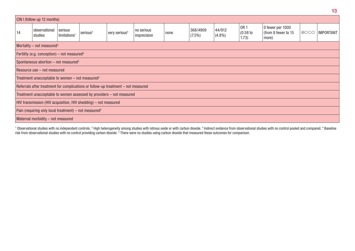| CIN I (follow-up 12 months)                                   |                                                                   |                                     |                                                                                   |                           |                           |      |                       |                     |                                    |                                                  |                 |                  |
|---------------------------------------------------------------|-------------------------------------------------------------------|-------------------------------------|-----------------------------------------------------------------------------------|---------------------------|---------------------------|------|-----------------------|---------------------|------------------------------------|--------------------------------------------------|-----------------|------------------|
| 14                                                            | observational<br>studies                                          | serious<br>limitations <sup>1</sup> | serious <sup>2</sup>                                                              | very serious <sup>3</sup> | no serious<br>imprecision | none | 368/4909<br>$(7.5\%)$ | 44/912<br>$(4.8\%)$ | <b>OR1</b><br>$(0.58)$ to<br>1.73) | 0 fewer per 1000<br>(from 8 fewer to 15<br>more) | $\bigoplus$ OOO | <b>IMPORTANT</b> |
| Mortality $-$ not measured <sup>5</sup>                       |                                                                   |                                     |                                                                                   |                           |                           |      |                       |                     |                                    |                                                  |                 |                  |
| Fertility (e.g. conception) – not measured <sup>5</sup>       |                                                                   |                                     |                                                                                   |                           |                           |      |                       |                     |                                    |                                                  |                 |                  |
| Spontaneous abortion $-$ not measured <sup>5</sup>            |                                                                   |                                     |                                                                                   |                           |                           |      |                       |                     |                                    |                                                  |                 |                  |
| Resource use - not measured                                   |                                                                   |                                     |                                                                                   |                           |                           |      |                       |                     |                                    |                                                  |                 |                  |
| Treatment unacceptable to women $-$ not measured <sup>5</sup> |                                                                   |                                     |                                                                                   |                           |                           |      |                       |                     |                                    |                                                  |                 |                  |
|                                                               |                                                                   |                                     | Referrals after treatment for complications or follow-up treatment - not measured |                           |                           |      |                       |                     |                                    |                                                  |                 |                  |
|                                                               |                                                                   |                                     | Treatment unacceptable to women assessed by providers - not measured              |                           |                           |      |                       |                     |                                    |                                                  |                 |                  |
|                                                               |                                                                   |                                     | HIV transmission (HIV acquisition, HIV shedding) – not measured                   |                           |                           |      |                       |                     |                                    |                                                  |                 |                  |
|                                                               | Pain (requiring only local treatment) – not measured <sup>5</sup> |                                     |                                                                                   |                           |                           |      |                       |                     |                                    |                                                  |                 |                  |
|                                                               | Maternal morbidity - not measured                                 |                                     |                                                                                   |                           |                           |      |                       |                     |                                    |                                                  |                 |                  |

<sup>1</sup> Observational studies with no independent controls. <sup>2</sup> High heterogeneity among studies with nitrous oxide or with carbon dioxide. <sup>3</sup> Indirect evidence from observational studies with no control pooled and compared. risk from observational studies with no control providing carbon dioxide. <sup>5</sup> There were no studies using carbon dioxide that measured these outcomes for comparison.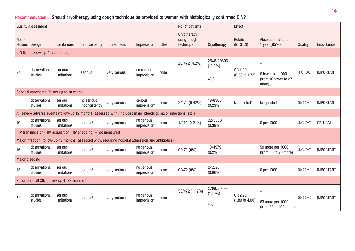## Recommendation 6. Should cryotherapy using cough technique be provided to women with histologically confirmed CIN?

|                                                                                                                 | <b>Quality assessment</b>                  |                                     |                                                                 |                                                                                                    | No. of patients                     |              | Effect                                  |                          |                           |                                                   |                 |                  |
|-----------------------------------------------------------------------------------------------------------------|--------------------------------------------|-------------------------------------|-----------------------------------------------------------------|----------------------------------------------------------------------------------------------------|-------------------------------------|--------------|-----------------------------------------|--------------------------|---------------------------|---------------------------------------------------|-----------------|------------------|
| No. of<br>studies   Design                                                                                      |                                            | Limitations                         | Inconsistency                                                   | <b>Indirectness</b>                                                                                | Imprecision                         | <b>Other</b> | Cryotherapy<br>using cough<br>technique | Cryotherapy              | Relative<br>(95% CI)      | Absolute effect at<br>1 year (95% CI)             | Quality         | Importance       |
|                                                                                                                 | CIN II, III (follow-up 4-72 months)        |                                     |                                                                 |                                                                                                    |                                     |              |                                         |                          |                           |                                                   |                 |                  |
|                                                                                                                 | observational                              | serious                             |                                                                 |                                                                                                    | no serious                          |              | 20/472 (4.2%)                           | 2546/20806<br>$(12.2\%)$ | OR 1.00                   |                                                   |                 |                  |
| 24                                                                                                              | studies                                    | limitations <sup>1</sup>            | serious <sup>2</sup>                                            | very serious <sup>1</sup>                                                                          | imprecision                         | none         |                                         | $4\%^{3}$                | $(0.58 \text{ to } 1.73)$ | 0 fewer per 1000<br>(from 16 fewer to 27<br>more) | $\bigoplus$ OOO | <b>IMPORTANT</b> |
|                                                                                                                 | Cervical carcinoma (follow-up to 10 years) |                                     |                                                                 |                                                                                                    |                                     |              |                                         |                          |                           |                                                   |                 |                  |
| 25                                                                                                              | observational<br>studies                   | serious<br>limitations <sup>1</sup> | no serious<br>inconsistency                                     | very serious <sup>1</sup>                                                                          | serious<br>imprecision <sup>4</sup> | none         | 2/472 (0.42%)                           | 19/8306<br>$(0.23\%)$    | Not pooled <sup>4</sup>   | Not pooled                                        | 0000            | <b>IMPORTANT</b> |
| All severe adverse events (follow-up 12 months; assessed with: includes major bleeding, major infections, etc.) |                                            |                                     |                                                                 |                                                                                                    |                                     |              |                                         |                          |                           |                                                   |                 |                  |
| 19                                                                                                              | observational<br>studies                   | serious<br>limitations <sup>1</sup> | serious <sup>2</sup>                                            | very serious <sup>1</sup>                                                                          | no serious<br>imprecision           | none         | 1/472 (0.21%)                           | 22/5653<br>$(0.39\%)$    |                           | 0 per 1000                                        | ⊕000            | CRITICAL         |
|                                                                                                                 |                                            |                                     | HIV transmission (HIV acquisition, HIV shedding) - not measured |                                                                                                    |                                     |              |                                         |                          |                           |                                                   |                 |                  |
|                                                                                                                 |                                            |                                     |                                                                 | Major infection (follow-up 12 months; assessed with: requiring hospital admission and antibiotics) |                                     |              |                                         |                          |                           |                                                   |                 |                  |
| 16                                                                                                              | observational<br>studies                   | serious<br>limitations <sup>1</sup> | serious <sup>2</sup>                                            | very serious <sup>1</sup>                                                                          | no serious<br>imprecision           | none         | 0/472(0%)                               | 10/4979<br>$(0.2\%)$     |                           | 50 more per 1000<br>(from 30 to 70 more)          | $\bigoplus$ OOO | <b>IMPORTANT</b> |
| <b>Major bleeding</b>                                                                                           |                                            |                                     |                                                                 |                                                                                                    |                                     |              |                                         |                          |                           |                                                   |                 |                  |
| 13                                                                                                              | observational<br>studies                   | serious<br>limitations <sup>1</sup> | serious <sup>2</sup>                                            | very serious <sup>1</sup>                                                                          | no serious<br>imprecision           | none         | 0/472(0%)                               | 2/3225<br>$(0.06\%)$     |                           | 0 per 1000                                        | $\bigoplus$ OOO | <b>IMPORTANT</b> |
|                                                                                                                 | Recurrence all CIN (follow-up 4-84 months) |                                     |                                                                 |                                                                                                    |                                     |              |                                         |                          |                           |                                                   |                 |                  |
| 54                                                                                                              | observational                              | serious                             |                                                                 |                                                                                                    | no serious                          |              | 53/472 (11.2%)                          | 3799/29544<br>$(12.9\%)$ | OR 2.75                   |                                                   |                 |                  |
|                                                                                                                 | studies                                    | limitations <sup>1</sup>            | serious <sup>2</sup>                                            | very serious <sup>1</sup>                                                                          | imprecision                         | none         |                                         | $4\%^{3}$                | $(1.89 \text{ to } 4.00)$ | 63 more per 1000<br>(from 33 to 103 more)         | $\bigoplus$ OOO | <b>IMPORTANT</b> |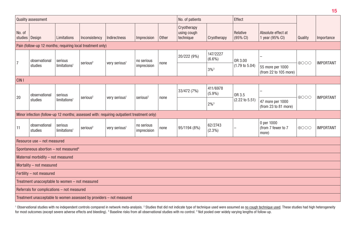|                            | <b>Quality assessment</b>                        |                                    |                                                            |                                                                                           |                           |       | No. of patients                         |                       | Effect                    |                                           |                 |                  |
|----------------------------|--------------------------------------------------|------------------------------------|------------------------------------------------------------|-------------------------------------------------------------------------------------------|---------------------------|-------|-----------------------------------------|-----------------------|---------------------------|-------------------------------------------|-----------------|------------------|
| No. of<br>studies   Design |                                                  | Limitations                        | Inconsistency                                              | Indirectness                                                                              | Imprecision               | Other | Cryotherapy<br>using cough<br>technique | Cryotherapy           | Relative<br>(95% CI)      | Absolute effect at<br>1 year (95% CI)     | Quality         | Importance       |
|                            |                                                  |                                    | Pain (follow-up 12 months; requiring local treatment only) |                                                                                           |                           |       |                                         |                       |                           |                                           |                 |                  |
| 7                          | observational                                    | serious                            | serious <sup>2</sup>                                       | very serious <sup>1</sup>                                                                 | no serious                |       | 20/222 (9%)                             | 147/2227<br>$(6.6\%)$ | OR 3.00                   |                                           | $\bigoplus$ OO  | <b>IMPORTANT</b> |
|                            | studies                                          | limitations <sup>1</sup>           |                                                            |                                                                                           | imprecision               | none  |                                         | $3\%$ <sup>3</sup>    | $(1.79 \text{ to } 5.04)$ | 55 more per 1000<br>(from 22 to 105 more) |                 |                  |
| CIN <sub>I</sub>           |                                                  |                                    |                                                            |                                                                                           |                           |       |                                         |                       |                           |                                           |                 |                  |
| 20                         | observational                                    | serious                            | serious <sup>2</sup>                                       | very serious <sup>1</sup>                                                                 | serious <sup>2</sup>      |       | 33/472 (7%)                             | 411/6978<br>$(5.9\%)$ | OR 3.5                    |                                           | $\oplus$ OOO    | <b>IMPORTANT</b> |
|                            | studies                                          | limitations <sup>1</sup>           |                                                            |                                                                                           |                           | none  |                                         | $2\%^{3}$             | $(2.22 \text{ to } 5.51)$ | 47 more per 1000<br>(from 23 to 81 more)  |                 |                  |
|                            |                                                  |                                    |                                                            | Minor infection (follow-up 12 months; assessed with: requiring outpatient treatment only) |                           |       |                                         |                       |                           |                                           |                 |                  |
| 11                         | observational<br>studies                         | serious<br>limitation <sub>3</sub> | serious <sup>2</sup>                                       | very serious <sup>1</sup>                                                                 | no serious<br>imprecision | none  | 95/1194 (8%)                            | 62/2743<br>$(2.3\%)$  |                           | 0 per 1000<br>(from 7 fewer to 7<br>more) | $\bigoplus$ OOO | <b>IMPORTANT</b> |
|                            | Resource use - not measured                      |                                    |                                                            |                                                                                           |                           |       |                                         |                       |                           |                                           |                 |                  |
|                            | Spontaneous abortion - not measured <sup>4</sup> |                                    |                                                            |                                                                                           |                           |       |                                         |                       |                           |                                           |                 |                  |
|                            | Maternal morbidity - not measured                |                                    |                                                            |                                                                                           |                           |       |                                         |                       |                           |                                           |                 |                  |
|                            | Mortality - not measured                         |                                    |                                                            |                                                                                           |                           |       |                                         |                       |                           |                                           |                 |                  |
|                            | Fertility - not measured                         |                                    |                                                            |                                                                                           |                           |       |                                         |                       |                           |                                           |                 |                  |
|                            | Treatment unacceptable to women - not measured   |                                    |                                                            |                                                                                           |                           |       |                                         |                       |                           |                                           |                 |                  |
|                            | Referrals for complications - not measured       |                                    |                                                            |                                                                                           |                           |       |                                         |                       |                           |                                           |                 |                  |
|                            |                                                  |                                    |                                                            | Treatment unacceptable to women assessed by providers - not measured                      |                           |       |                                         |                       |                           |                                           |                 |                  |

<sup>1</sup> Observational studies with no independent controls compared in network meta-analysis. <sup>2</sup> Studies that did not indicate type of technique used were assumed as <u>no cough technique used</u>. These studies had high heterogen for most outcomes (except severe adverse effects and bleeding). <sup>3</sup> Baseline risks from all observational studies with no control. <sup>4</sup> Not pooled over widely varying lengths of follow-up.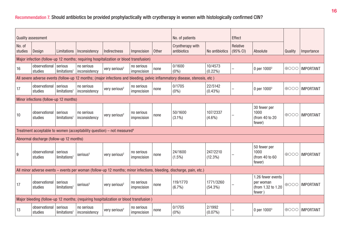## Recommendation 7. Should antibiotics be provided prophylactically with cryotherapy in women with histologically confirmed CIN?

|                   | <b>Quality assessment</b>                |                                     |                             |                                                                                       |                           |       | No. of patients                                                                                                             |                         | Effect               |                                                                |                 |                  |
|-------------------|------------------------------------------|-------------------------------------|-----------------------------|---------------------------------------------------------------------------------------|---------------------------|-------|-----------------------------------------------------------------------------------------------------------------------------|-------------------------|----------------------|----------------------------------------------------------------|-----------------|------------------|
|                   |                                          |                                     |                             |                                                                                       |                           |       |                                                                                                                             |                         |                      |                                                                |                 |                  |
| No. of<br>studies | Design                                   | Limitations                         | Inconsistency               | Indirectness                                                                          | Imprecision               | Other | Cryotherapy with<br>antibiotics                                                                                             | No antibiotics          | Relative<br>(95% CI) | Absolute                                                       | Quality         | Importance       |
|                   |                                          |                                     |                             | Major infection (follow-up 12 months; requiring hospitalization or blood transfusion) |                           |       |                                                                                                                             |                         |                      |                                                                |                 |                  |
| 16                | observational<br>studies                 | serious<br>limitations <sup>1</sup> | no serious<br>inconsistency | very serious <sup>2</sup>                                                             | no serious<br>imprecision | none  | 0/1600<br>(0% )                                                                                                             | 10/4573<br>$(0.22\%)$   |                      | 0 per 1000 <sup>3</sup>                                        | $\bigoplus$ OOO | <b>IMPORTANT</b> |
|                   |                                          |                                     |                             |                                                                                       |                           |       | All severe adverse events (follow-up 12 months; (major infections and bleeding, pelvic inflammatory disease, stenosis, etc) |                         |                      |                                                                |                 |                  |
| 17                | observational<br>studies                 | serious<br>limitations <sup>1</sup> | no serious<br>inconsistency | very serious <sup>2</sup>                                                             | no serious<br>imprecision | none  | 0/1705<br>$(0\%)$                                                                                                           | 22/5142<br>$(0.43\%)$   |                      | 0 per 1000 <sup>3</sup>                                        | $\bigoplus$ OOO | <b>IMPORTANT</b> |
|                   | Minor infections (follow-up 12 months)   |                                     |                             |                                                                                       |                           |       |                                                                                                                             |                         |                      |                                                                |                 |                  |
| 10                | observational<br>studies                 | serious<br>limitations <sup>1</sup> | no serious<br>inconsistency | very serious <sup>2</sup>                                                             | no serious<br>imprecision | none  | 50/1600<br>$(3.1\%)$                                                                                                        | 107/2337<br>$(4.6\%)$   |                      | 30 fewer per<br>1000<br>(from 40 to 20<br>fewer)               | $\bigoplus$ OOO | <b>IMPORTANT</b> |
|                   |                                          |                                     |                             | Treatment acceptable to women (acceptability question) - not measured <sup>4</sup>    |                           |       |                                                                                                                             |                         |                      |                                                                |                 |                  |
|                   | Abnormal discharge (follow-up 12 months) |                                     |                             |                                                                                       |                           |       |                                                                                                                             |                         |                      |                                                                |                 |                  |
| 9                 | observational<br>studies                 | serious<br>limitations <sup>1</sup> | serious <sup>5</sup>        | very serious <sup>2</sup>                                                             | no serious<br>imprecision | none  | 24/1600<br>$(1.5\%)$                                                                                                        | 247/2210<br>$(12.3\%)$  |                      | 50 fewer per<br>1000<br>(from 40 to 60<br>fewer)               | $\bigoplus$ OOO | <b>IMPORTANT</b> |
|                   |                                          |                                     |                             |                                                                                       |                           |       | All minor adverse events – events per woman (follow-up 12 months; minor infections, bleeding, discharge, pain, etc.)        |                         |                      |                                                                |                 |                  |
| 17                | observational<br>studies                 | serious<br>limitations <sup>1</sup> | serious <sup>5</sup>        | very serious <sup>2</sup>                                                             | no serious<br>imprecision | none  | 119/1770<br>$(6.7\%)$                                                                                                       | 1771/3260<br>$(54.3\%)$ |                      | 1.26 fewer events<br>per woman<br>(from 1.32 to 1.20<br>fewer) | $\bigoplus$ OOO | <b>IMPORTANT</b> |
|                   |                                          |                                     |                             | Major bleeding (follow-up 12 months; (requiring hospitalization or blood transfusion) |                           |       |                                                                                                                             |                         |                      |                                                                |                 |                  |
| 13                | observational<br>studies                 | serious<br>limitations <sup>1</sup> | no serious<br>inconsistency | very serious <sup>2</sup>                                                             | no serious<br>imprecision | none  | 0/1705<br>$(0\%)$                                                                                                           | 2/1992<br>$(0.07\%)$    |                      | 0 per 1000 <sup>3</sup>                                        | $\bigoplus$ OOO | <b>IMPORTANT</b> |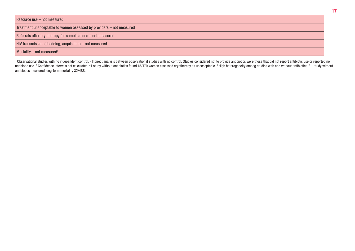| Resource use – not measured |  |  |  |  |
|-----------------------------|--|--|--|--|
|-----------------------------|--|--|--|--|

Treatment unacceptable to women assessed by providers – not measured

Referrals after cryotherapy for complications – not measured

HIV transmission (shedding, acquisition) – not measured

#### Mortality – not measured<sup>5</sup>

<sup>1</sup> Observational studies with no independent control. <sup>2</sup> Indirect analysis between observational studies with no control. Studies considered not to provide antibiotics were those that did not report antibiotic use or rep antibiotic use. 3 Confidence intervals not calculated. <sup>4</sup>1 study without antibiotics found 15/170 women assessed cryotherapy as unacceptable. <sup>5</sup> High heterogeneity among studies with and without antibiotics. <sup>6</sup> 1 study antibiotics measured long-term mortality 32/488.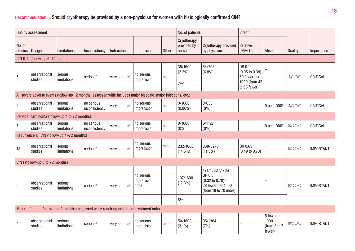## Recommendation 8. Should cryotherapy be provided by a non-physician for women with histologically confirmed CIN?

|                   | Quality assessment                  |                                               |                             |                           |                                                                                                                 | No. of patients |                                                                                                                                 | Effect                               |                                                      |                                               |                 |                  |
|-------------------|-------------------------------------|-----------------------------------------------|-----------------------------|---------------------------|-----------------------------------------------------------------------------------------------------------------|-----------------|---------------------------------------------------------------------------------------------------------------------------------|--------------------------------------|------------------------------------------------------|-----------------------------------------------|-----------------|------------------|
| No. of<br>studies | Design                              | Limitations                                   | Inconsistency               | Indirectness              | Imprecision                                                                                                     | <b>Other</b>    | Cryotherapy<br>provided by<br>nurse                                                                                             | Cryotherapy provided<br>by physician | Relative<br>$(95% \text{ Cl})$                       | Absolute                                      | Quality         | Importance       |
|                   | CIN II, III (follow-up 6-72 months) |                                               |                             |                           |                                                                                                                 |                 |                                                                                                                                 |                                      |                                                      |                                               |                 |                  |
| 5                 | observational<br>studies            | serious<br>limitations <sup>1</sup>           | serious <sup>2</sup>        | very serious <sup>3</sup> | no serious<br>imprecision                                                                                       | none            | 35/1600<br>$(2.2\%)$                                                                                                            | 54/793<br>(6.8%)                     | OR 0.14<br>$(0.05 \text{ to } 0.38)$<br>60 fewer per |                                               | $\bigoplus$ OOO | CRITICAL         |
|                   |                                     |                                               |                             |                           |                                                                                                                 |                 | $7\%$ <sup>4</sup>                                                                                                              |                                      | 1000 (from 42<br>to 66 fewer)                        |                                               |                 |                  |
|                   |                                     |                                               |                             |                           | All severe adverse events (follow-up 12 months; assessed with: includes major bleeding, major infections, etc.) |                 |                                                                                                                                 |                                      |                                                      |                                               |                 |                  |
| 4                 | observational<br>studies            | serious<br>limitations <sup>1</sup>           | no serious<br>inconsistency | very serious <sup>3</sup> | no serious<br>imprecision                                                                                       | none            | 0/1600<br>$(0.06\%)$                                                                                                            | 0/633<br>(0% )                       |                                                      | 0 per 1000 <sup>5</sup>                       | $\bigoplus$ OOO | CRITICAL         |
|                   |                                     | Cervical carcinoma (follow-up 4 to 72 months) |                             |                           |                                                                                                                 |                 |                                                                                                                                 |                                      |                                                      |                                               |                 |                  |
| $\overline{7}$    | observational<br>studies            | serious<br>limitations <sup>1</sup>           | no serious<br>inconsistency | very serious <sup>3</sup> | no serious<br>imprecision                                                                                       | none            | 0/1600<br>$(0\%)$                                                                                                               | 0/1127<br>(0% )                      |                                                      | 0 per 1000 <sup>5</sup>                       | $\bigoplus$ OOO | CRITICAL         |
|                   |                                     | Recurrence all CIN (follow-up 4-72 months)    |                             |                           |                                                                                                                 |                 |                                                                                                                                 |                                      |                                                      |                                               |                 |                  |
| 13                | observational<br>studies            | serious<br>limitations <sup>1</sup>           | serious <sup>2</sup>        | very serious <sup>3</sup> | no serious<br>imprecision                                                                                       | none            | 232/1600<br>$(14.5\%)$                                                                                                          | 368/3270<br>$(11.3\%)$               | OR 0.63<br>$(0.49 \text{ to } 0.73)$                 |                                               | $\bigoplus$ OOO | <b>IMPORTANT</b> |
|                   | CIN I (follow-up 6 to 72 months)    |                                               |                             |                           |                                                                                                                 |                 |                                                                                                                                 |                                      |                                                      |                                               |                 |                  |
| $6\phantom{1}6$   | observational<br>studies            | serious<br>limitations <sup>1</sup>           | serious <sup>2</sup>        | very serious <sup>3</sup> | no serious<br>imprecision<br>none                                                                               |                 | 121/1563 (7.7%)<br>OR 0.5<br>197/1600<br>$(0.32 \text{ to } 0.78)^6$<br>$(12.3\%)$<br>28 fewer per 1000<br>(from 19 to 70 more) |                                      |                                                      |                                               | $\bigoplus$ OOO | <b>IMPORTANT</b> |
|                   |                                     |                                               |                             |                           |                                                                                                                 |                 | $8\%^{4}$                                                                                                                       |                                      |                                                      |                                               |                 |                  |
|                   |                                     |                                               |                             |                           | Minor infection (follow-up 12 months; assessed with: requiring outpatient treatment only)                       |                 |                                                                                                                                 |                                      |                                                      |                                               |                 |                  |
| 4                 | observational<br>studies            | serious<br>limitations <sup>1</sup>           | serious <sup>2</sup>        | very serious <sup>3</sup> | no serious<br>imprecision                                                                                       | none            | 50/1600<br>$(3.1\%)$                                                                                                            | 95/1364<br>(7%)                      |                                                      | 5 fewer per<br>1000<br>(from 3 to 7<br>fewer) | $\bigoplus$ OO  | <b>IMPORTANT</b> |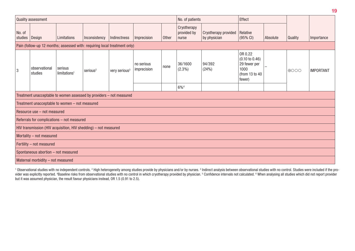|                                                                      | Quality assessment                  |                                                                           |                      |                           |                           |       | No. of patients                     |                                      | <b>Effect</b>                                                                            |          |                 |                  |  |
|----------------------------------------------------------------------|-------------------------------------|---------------------------------------------------------------------------|----------------------|---------------------------|---------------------------|-------|-------------------------------------|--------------------------------------|------------------------------------------------------------------------------------------|----------|-----------------|------------------|--|
| No. of<br>studies                                                    | <b>Design</b>                       | Limitations                                                               | Inconsistency        | Indirectness              | Imprecision               | Other | Cryotherapy<br>provided by<br>nurse | Cryotherapy provided<br>by physician | Relative<br>$(95% \text{ Cl})$                                                           | Absolute | Quality         | Importance       |  |
|                                                                      |                                     | Pain (follow-up 12 months; assessed with: requiring local treatment only) |                      |                           |                           |       |                                     |                                      |                                                                                          |          |                 |                  |  |
| 3                                                                    | observational<br>studies            | serious<br>limitations <sup>1</sup>                                       | serious <sup>2</sup> | very serious <sup>3</sup> | no serious<br>imprecision | none  | 36/1600<br>$(2.3\%)$                | 94/392<br>(24%)                      | OR 0.22<br>$(0.10 \text{ to } 0.46)$<br>29 fewer per<br>1000<br>(from 13 to 40<br>fewer) |          | $\bigoplus$ OOO | <b>IMPORTANT</b> |  |
|                                                                      |                                     |                                                                           |                      |                           |                           |       | $6\%^{4}$                           |                                      |                                                                                          |          |                 |                  |  |
| Treatment unacceptable to women assessed by providers - not measured |                                     |                                                                           |                      |                           |                           |       |                                     |                                      |                                                                                          |          |                 |                  |  |
|                                                                      |                                     | Treatment unacceptable to women - not measured                            |                      |                           |                           |       |                                     |                                      |                                                                                          |          |                 |                  |  |
|                                                                      | Resource use - not measured         |                                                                           |                      |                           |                           |       |                                     |                                      |                                                                                          |          |                 |                  |  |
|                                                                      |                                     | Referrals for complications - not measured                                |                      |                           |                           |       |                                     |                                      |                                                                                          |          |                 |                  |  |
|                                                                      |                                     | HIV transmission (HIV acquisition, HIV shedding) - not measured           |                      |                           |                           |       |                                     |                                      |                                                                                          |          |                 |                  |  |
|                                                                      | Mortality - not measured            |                                                                           |                      |                           |                           |       |                                     |                                      |                                                                                          |          |                 |                  |  |
|                                                                      | Fertility - not measured            |                                                                           |                      |                           |                           |       |                                     |                                      |                                                                                          |          |                 |                  |  |
|                                                                      | Spontaneous abortion - not measured |                                                                           |                      |                           |                           |       |                                     |                                      |                                                                                          |          |                 |                  |  |
|                                                                      | Maternal morbidity - not measured   |                                                                           |                      |                           |                           |       |                                     |                                      |                                                                                          |          |                 |                  |  |

<sup>1</sup> Observational studies with no independent controls. <sup>2</sup> High heterogeneity among studies provide by physicians and/or by nurses. <sup>3</sup> Indirect analysis between observational studies with no control. Studies were include vider was explicitly reported. "Baseline risks from observational studies with no control in which cryotherapy provided by physician. 5 Confidence intervals not calculated. 6 When analysing all studies which did not report but it was assumed physician, the result favour physicians instead, OR 1.5 (0.91 to 2.5).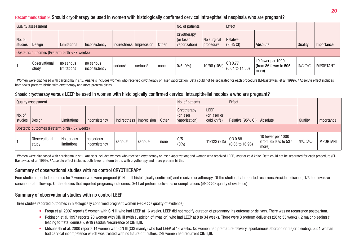#### Recommendation 9. Should cryotherapy be used in women with histologically confirmed cervical intraepithelial neoplasia who are pregnant?

|                                              | Quality assessment            |                           |                             |                            |                      |       | No. of patients                           |                          | Effect                                |                                                    |                |                  |
|----------------------------------------------|-------------------------------|---------------------------|-----------------------------|----------------------------|----------------------|-------|-------------------------------------------|--------------------------|---------------------------------------|----------------------------------------------------|----------------|------------------|
| No. of<br>studies                            | <b>Design</b>                 | Limitations               | Inconsistency               | Indirectness   Imprecision |                      | Other | Cryotherapy<br>(or laser<br>vaporization) | No surgical<br>procedure | Relative<br>$(95% \, \text{Cl})$      | Absolute                                           | <b>Quality</b> | Importance       |
| Obstetric outcomes (Preterm birth <37 weeks) |                               |                           |                             |                            |                      |       |                                           |                          |                                       |                                                    |                |                  |
|                                              | <b>Observational</b><br>study | no serious<br>limitations | no serious<br>inconsistency | serious <sup>1</sup>       | serious <sup>2</sup> | none  | $0/5(0\%)$                                | 10/98 (10%)              | OR 0.77<br>$(0.04 \text{ to } 14.86)$ | 19 fewer per 1000<br>from 86 fewer to 505<br>more) | $\theta$       | <b>IMPORTANT</b> |

 $^{\rm 1}$  Women were diagnosed with carcinoma in situ. Analysis includes women who received cryotherapy or laser vaporization. Data could not be separated for each procedure (El-Bastawissi et al. 1999).  $^{\rm 2}$  Absolute e both fewer preterm births with cryotherapy and more preterm births.

#### Should cryotherapy versus LEEP be used in women with histologically confirmed cervical intraepithelial neoplasia who are pregnant?

|                   | Quality assessment                           |                            |                             |                            |                      |       | No. of patients                                 |                                     | Effect                                |                                                                  |                |                  |
|-------------------|----------------------------------------------|----------------------------|-----------------------------|----------------------------|----------------------|-------|-------------------------------------------------|-------------------------------------|---------------------------------------|------------------------------------------------------------------|----------------|------------------|
| No. of<br>studies | Design                                       | Limitations                | Inconsistency               | Indirectness   Imprecision |                      | Other | <b>Cryotherapy</b><br>or laser<br>vaporization) | LEEP<br>(or laser or<br>cold knife) | Relative (95% CI) Absolute            |                                                                  | Quality        | Importance       |
|                   | Obstetric outcomes (Preterm birth <37 weeks) |                            |                             |                            |                      |       |                                                 |                                     |                                       |                                                                  |                |                  |
|                   | Observational<br>study                       | No serious <br>limitations | no serious<br>inconsistency | $ $ serious ${}^{_1}$      | serious <sup>2</sup> | none  | 0/5<br>$(0\%)$                                  | 11/122 (9%)                         | OR 0.88<br>$(0.05 \text{ to } 16.98)$ | 10 fewer per 1000<br>$\frac{1}{2}$ (from 85 less to 537<br>more) | $  \oplus$ OOC | <b>IMPORTANT</b> |

<sup>1</sup> Women were diagnosed with carcinoma in situ. Analysis includes women who received cryotherapy or laser vaporization; and women who received LEEP, laser or cold knife. Data could not be separated for each procedure (EI-Bastawissi et al. 1999). <sup>2</sup> Absolute effect includes both fewer preterm births with cryotherapy and more preterm births.

#### Summary of observational studies with no control CRYOTHERAPY

Four studies reported outcomes for 7 women who were pregnant (CIN I,II,III histologically confirmed) and received cryotherapy. Of the studies that reported recurrence/residual disease, 1/5 had invasive carcinoma at follow-up. Of the studies that reported pregnancy outcomes,  $0/4$  had preterm deliveries or complications ( $\oplus$   $\odot$   $\odot$  quality of evidence)

#### Summary of observational studies with no control LEEP

Three studies reported outcomes in histologically confirmed pregnant women ( $\oplus \circ \circ$ ) quality of evidence).

- Frega et al. 2007 reports 5 women with CIN III who had LEEP at 16 weeks. LEEP did not modify duration of pregnancy, its outcome or delivery. There was no recurrence postpartum.
- Robinson et al. 1997 reports 20 women with CIN III (with suspicion of invasion) who had LEEP at 8 to 34 weeks. There were 3 preterm deliveries (28 to 35 weeks), 2 major bleeding (1) leading to 'fetal demise'), 9/19 residual/recurrence of CIN II,III.
- Mitsuhashi et al. 2000 reports 14 women with CIN III (CIS mainly) who had LEEP at 14 weeks. No women had premature delivery, spontaneous abortion or major bleeding, but 1 woman had cervical incompetence which was treated with no future difficulties. 2/9 women had recurrent CIN II, III.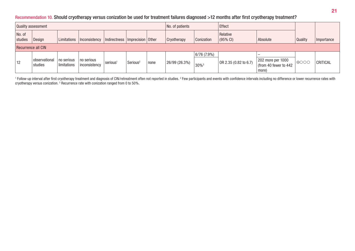### Recommendation 10. Should cryotherapy versus conization be used for treatment failures diagnosed >12 months after first cryotherapy treatment?

| Quality assessment |                          |                           |                             |                                    |                      |      | No. of patients    |                                | Effect                          |                                                      |              |            |
|--------------------|--------------------------|---------------------------|-----------------------------|------------------------------------|----------------------|------|--------------------|--------------------------------|---------------------------------|------------------------------------------------------|--------------|------------|
| No. of<br>studies  | <b>Design</b>            | Limitations               | Inconsistency               | Indirectness   Imprecision   Other |                      |      | <b>Cryotherapy</b> | <b>Conization</b>              | Relative<br>$(95\% \text{ Cl})$ | Absolute                                             | Quality      | Importance |
| Recurrence all CIN |                          |                           |                             |                                    |                      |      |                    |                                |                                 |                                                      |              |            |
| 12                 | observational<br>studies | no serious<br>limitations | no serious<br>inconsistency | serious <sup>1</sup>               | Serious <sup>2</sup> | none | 26/99 (26.3%)      | 6/76(7.9%)<br>30% <sup>3</sup> | OR 2.35 (0.82 to 6.7)           | 202 more per 1000<br>(from 40 fewer to 442)<br>more) | $\theta$ OOC | CRITICAL   |

<sup>1</sup> Follow-up interval after first cryotherapy treatment and diagnosis of CIN/retreatment often not reported in studies. <sup>2</sup> Few participants and events with confidence intervals including no difference or lower recurrence cryotherapy versus conization.  $^3$  Recurrence rate with conization ranged from 0 to 50%.